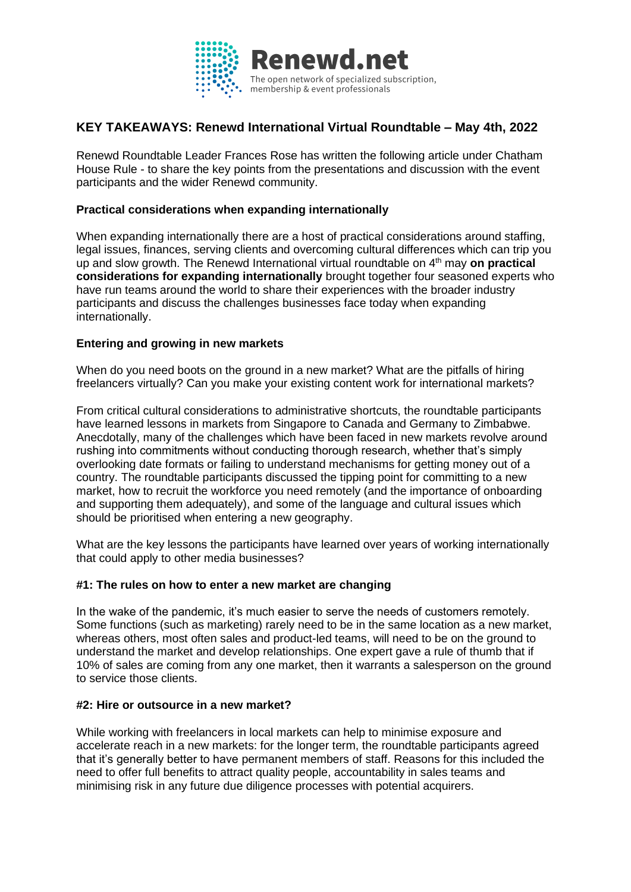

# **KEY TAKEAWAYS: Renewd International Virtual Roundtable – May 4th, 2022**

Renewd Roundtable Leader Frances Rose has written the following article under Chatham House Rule - to share the key points from the presentations and discussion with the event participants and the wider Renewd community.

## **Practical considerations when expanding internationally**

When expanding internationally there are a host of practical considerations around staffing, legal issues, finances, serving clients and overcoming cultural differences which can trip you up and slow growth. The Renewd International virtual roundtable on 4th may **on practical considerations for expanding internationally** brought together four seasoned experts who have run teams around the world to share their experiences with the broader industry participants and discuss the challenges businesses face today when expanding internationally.

# **Entering and growing in new markets**

When do you need boots on the ground in a new market? What are the pitfalls of hiring freelancers virtually? Can you make your existing content work for international markets?

From critical cultural considerations to administrative shortcuts, the roundtable participants have learned lessons in markets from Singapore to Canada and Germany to Zimbabwe. Anecdotally, many of the challenges which have been faced in new markets revolve around rushing into commitments without conducting thorough research, whether that's simply overlooking date formats or failing to understand mechanisms for getting money out of a country. The roundtable participants discussed the tipping point for committing to a new market, how to recruit the workforce you need remotely (and the importance of onboarding and supporting them adequately), and some of the language and cultural issues which should be prioritised when entering a new geography.

What are the key lessons the participants have learned over years of working internationally that could apply to other media businesses?

## **#1: The rules on how to enter a new market are changing**

In the wake of the pandemic, it's much easier to serve the needs of customers remotely. Some functions (such as marketing) rarely need to be in the same location as a new market, whereas others, most often sales and product-led teams, will need to be on the ground to understand the market and develop relationships. One expert gave a rule of thumb that if 10% of sales are coming from any one market, then it warrants a salesperson on the ground to service those clients.

## **#2: Hire or outsource in a new market?**

While working with freelancers in local markets can help to minimise exposure and accelerate reach in a new markets: for the longer term, the roundtable participants agreed that it's generally better to have permanent members of staff. Reasons for this included the need to offer full benefits to attract quality people, accountability in sales teams and minimising risk in any future due diligence processes with potential acquirers.